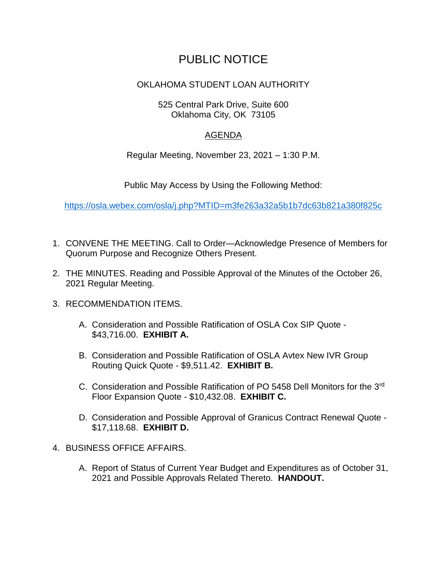# PUBLIC NOTICE

## OKLAHOMA STUDENT LOAN AUTHORITY

#### 525 Central Park Drive, Suite 600 Oklahoma City, OK 73105

### AGENDA

Regular Meeting, November 23, 2021 – 1:30 P.M.

Public May Access by Using the Following Method:

<https://osla.webex.com/osla/j.php?MTID=m3fe263a32a5b1b7dc63b821a380f825c>

- 1. CONVENE THE MEETING. Call to Order—Acknowledge Presence of Members for Quorum Purpose and Recognize Others Present.
- 2. THE MINUTES. Reading and Possible Approval of the Minutes of the October 26, 2021 Regular Meeting.
- 3. RECOMMENDATION ITEMS.
	- A. Consideration and Possible Ratification of OSLA Cox SIP Quote \$43,716.00. **EXHIBIT A.**
	- B. Consideration and Possible Ratification of OSLA Avtex New IVR Group Routing Quick Quote - \$9,511.42. **EXHIBIT B.**
	- C. Consideration and Possible Ratification of PO 5458 Dell Monitors for the 3rd Floor Expansion Quote - \$10,432.08. **EXHIBIT C.**
	- D. Consideration and Possible Approval of Granicus Contract Renewal Quote \$17,118.68. **EXHIBIT D.**
- 4. BUSINESS OFFICE AFFAIRS.
	- A. Report of Status of Current Year Budget and Expenditures as of October 31, 2021 and Possible Approvals Related Thereto. **HANDOUT.**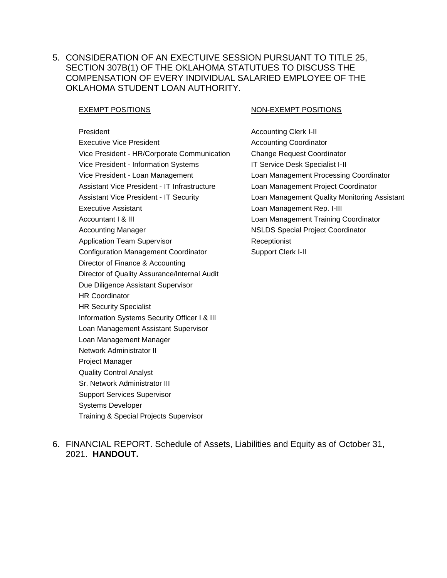5. CONSIDERATION OF AN EXECTUIVE SESSION PURSUANT TO TITLE 25, SECTION 307B(1) OF THE OKLAHOMA STATUTUES TO DISCUSS THE COMPENSATION OF EVERY INDIVIDUAL SALARIED EMPLOYEE OF THE OKLAHOMA STUDENT LOAN AUTHORITY.

President **Accounting Clerk I-II** Accounting Clerk I-II Executive Vice President **Accounting Coordinator** Accounting Coordinator Vice President - HR/Corporate Communication Change Request Coordinator Vice President - Information Systems IT Service Desk Specialist I-II Vice President - Loan Management Loan Management Processing Coordinator Assistant Vice President - IT Infrastructure Loan Management Project Coordinator Executive Assistant **Loan Management Rep. I-III** Accountant I & III Loan Management Training Coordinator Accounting Manager NSLDS Special Project Coordinator Application Team Supervisor **Receptionist** Receptionist Configuration Management Coordinator **Support Clerk I-II** Director of Finance & Accounting Director of Quality Assurance/Internal Audit Due Diligence Assistant Supervisor HR Coordinator HR Security Specialist Information Systems Security Officer I & III Loan Management Assistant Supervisor Loan Management Manager Network Administrator II Project Manager Quality Control Analyst Sr. Network Administrator III Support Services Supervisor Systems Developer Training & Special Projects Supervisor

#### **EXEMPT POSITIONS CONSUMING A REAL PROPERTY POSITIONS**

Assistant Vice President - IT Security Loan Management Quality Monitoring Assistant

6. FINANCIAL REPORT. Schedule of Assets, Liabilities and Equity as of October 31, 2021. **HANDOUT.**